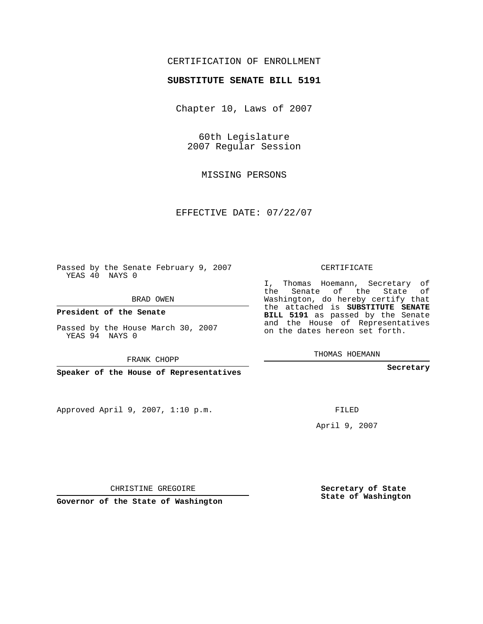## CERTIFICATION OF ENROLLMENT

## **SUBSTITUTE SENATE BILL 5191**

Chapter 10, Laws of 2007

60th Legislature 2007 Regular Session

MISSING PERSONS

EFFECTIVE DATE: 07/22/07

Passed by the Senate February 9, 2007 YEAS 40 NAYS 0

BRAD OWEN

**President of the Senate**

Passed by the House March 30, 2007 YEAS 94 NAYS 0

FRANK CHOPP

**Speaker of the House of Representatives**

Approved April 9, 2007, 1:10 p.m.

CERTIFICATE

I, Thomas Hoemann, Secretary of the Senate of the State of Washington, do hereby certify that the attached is **SUBSTITUTE SENATE BILL 5191** as passed by the Senate and the House of Representatives on the dates hereon set forth.

THOMAS HOEMANN

**Secretary**

FILED

April 9, 2007

CHRISTINE GREGOIRE

**Governor of the State of Washington**

**Secretary of State State of Washington**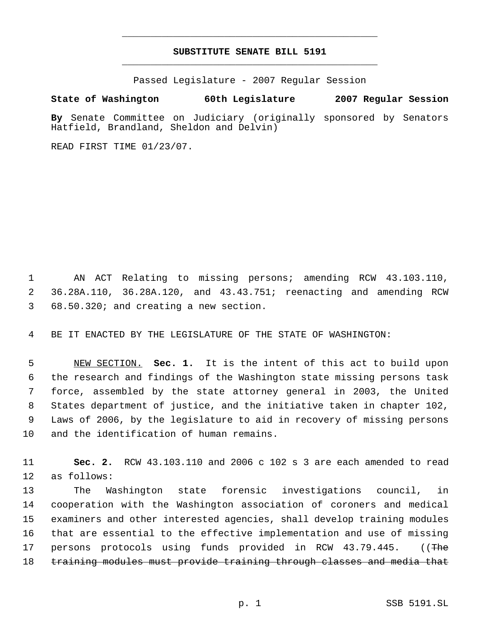## **SUBSTITUTE SENATE BILL 5191** \_\_\_\_\_\_\_\_\_\_\_\_\_\_\_\_\_\_\_\_\_\_\_\_\_\_\_\_\_\_\_\_\_\_\_\_\_\_\_\_\_\_\_\_\_

\_\_\_\_\_\_\_\_\_\_\_\_\_\_\_\_\_\_\_\_\_\_\_\_\_\_\_\_\_\_\_\_\_\_\_\_\_\_\_\_\_\_\_\_\_

Passed Legislature - 2007 Regular Session

## **State of Washington 60th Legislature 2007 Regular Session**

**By** Senate Committee on Judiciary (originally sponsored by Senators Hatfield, Brandland, Sheldon and Delvin)

READ FIRST TIME 01/23/07.

 AN ACT Relating to missing persons; amending RCW 43.103.110, 36.28A.110, 36.28A.120, and 43.43.751; reenacting and amending RCW 68.50.320; and creating a new section.

BE IT ENACTED BY THE LEGISLATURE OF THE STATE OF WASHINGTON:

 NEW SECTION. **Sec. 1.** It is the intent of this act to build upon the research and findings of the Washington state missing persons task force, assembled by the state attorney general in 2003, the United States department of justice, and the initiative taken in chapter 102, Laws of 2006, by the legislature to aid in recovery of missing persons and the identification of human remains.

 **Sec. 2.** RCW 43.103.110 and 2006 c 102 s 3 are each amended to read as follows:

 The Washington state forensic investigations council, in cooperation with the Washington association of coroners and medical examiners and other interested agencies, shall develop training modules that are essential to the effective implementation and use of missing 17 persons protocols using funds provided in RCW 43.79.445. ((The training modules must provide training through classes and media that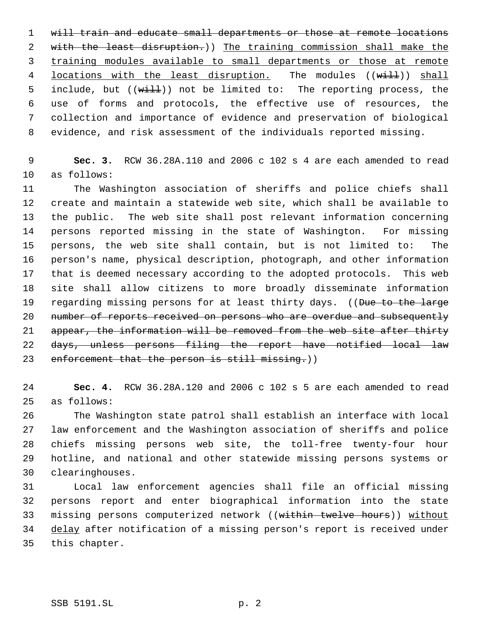1 will train and educate small departments or those at remote locations 2 with the least disruption.)) The training commission shall make the training modules available to small departments or those at remote 4 locations with the least disruption. The modules ((will)) shall 5 include, but ((will)) not be limited to: The reporting process, the use of forms and protocols, the effective use of resources, the collection and importance of evidence and preservation of biological evidence, and risk assessment of the individuals reported missing.

 **Sec. 3.** RCW 36.28A.110 and 2006 c 102 s 4 are each amended to read as follows:

 The Washington association of sheriffs and police chiefs shall create and maintain a statewide web site, which shall be available to the public. The web site shall post relevant information concerning persons reported missing in the state of Washington. For missing persons, the web site shall contain, but is not limited to: The person's name, physical description, photograph, and other information that is deemed necessary according to the adopted protocols. This web site shall allow citizens to more broadly disseminate information 19 regarding missing persons for at least thirty days. ((Due to the large 20 number of reports received on persons who are overdue and subsequently 21 appear, the information will be removed from the web site after thirty days, unless persons filing the report have notified local law 23 enforcement that the person is still missing.))

 **Sec. 4.** RCW 36.28A.120 and 2006 c 102 s 5 are each amended to read as follows:

 The Washington state patrol shall establish an interface with local law enforcement and the Washington association of sheriffs and police chiefs missing persons web site, the toll-free twenty-four hour hotline, and national and other statewide missing persons systems or clearinghouses.

 Local law enforcement agencies shall file an official missing persons report and enter biographical information into the state missing persons computerized network ((within twelve hours)) without delay after notification of a missing person's report is received under this chapter.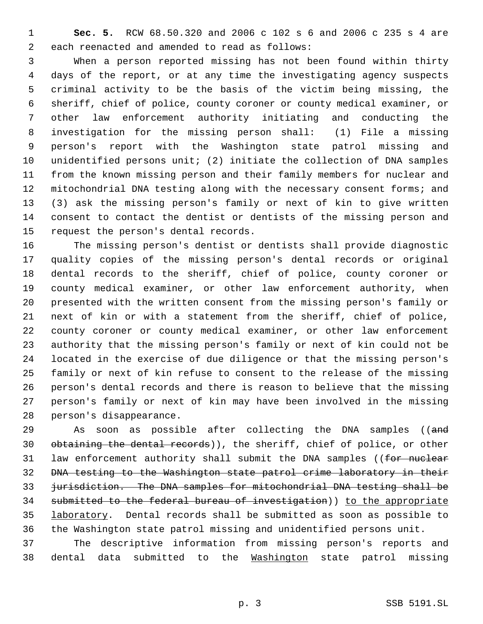**Sec. 5.** RCW 68.50.320 and 2006 c 102 s 6 and 2006 c 235 s 4 are each reenacted and amended to read as follows:

 When a person reported missing has not been found within thirty days of the report, or at any time the investigating agency suspects criminal activity to be the basis of the victim being missing, the sheriff, chief of police, county coroner or county medical examiner, or other law enforcement authority initiating and conducting the investigation for the missing person shall: (1) File a missing person's report with the Washington state patrol missing and unidentified persons unit; (2) initiate the collection of DNA samples from the known missing person and their family members for nuclear and mitochondrial DNA testing along with the necessary consent forms; and (3) ask the missing person's family or next of kin to give written consent to contact the dentist or dentists of the missing person and request the person's dental records.

 The missing person's dentist or dentists shall provide diagnostic quality copies of the missing person's dental records or original dental records to the sheriff, chief of police, county coroner or county medical examiner, or other law enforcement authority, when presented with the written consent from the missing person's family or next of kin or with a statement from the sheriff, chief of police, county coroner or county medical examiner, or other law enforcement authority that the missing person's family or next of kin could not be located in the exercise of due diligence or that the missing person's family or next of kin refuse to consent to the release of the missing person's dental records and there is reason to believe that the missing person's family or next of kin may have been involved in the missing person's disappearance.

29 As soon as possible after collecting the DNA samples ((and obtaining the dental records)), the sheriff, chief of police, or other 31 law enforcement authority shall submit the DNA samples ((for nuclear DNA testing to the Washington state patrol crime laboratory in their jurisdiction. The DNA samples for mitochondrial DNA testing shall be 34 submitted to the federal bureau of investigation)) to the appropriate 35 laboratory. Dental records shall be submitted as soon as possible to the Washington state patrol missing and unidentified persons unit.

 The descriptive information from missing person's reports and dental data submitted to the Washington state patrol missing